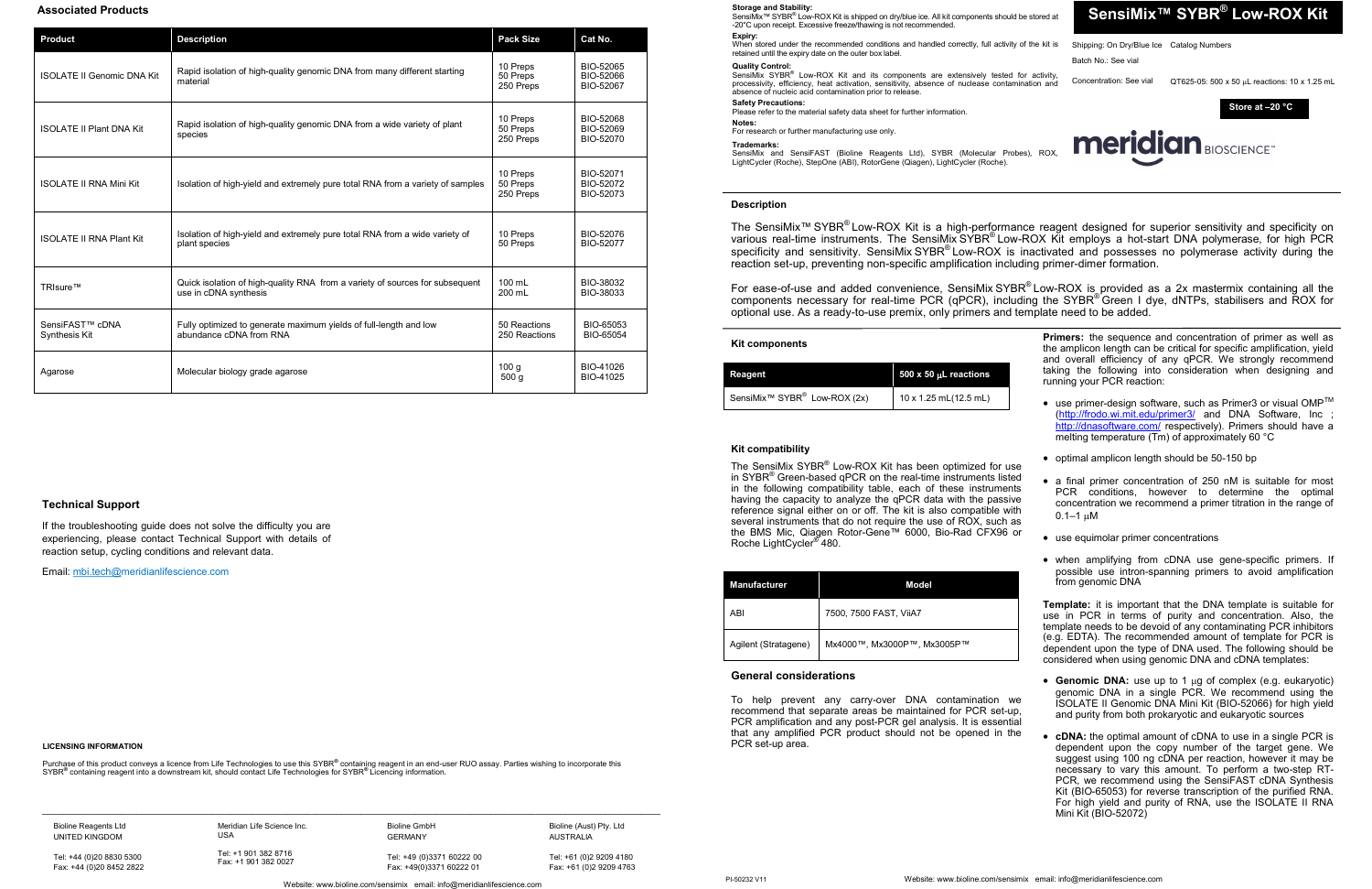SensiMix™ SYBR® Low-ROX Kit is shipped on dry/blue ice. All kit components should be stored at -20°C upon receipt. Excessive freeze/thawing is not recommended. **Expiry:**

SensiMix SYBR<sup>®</sup> Low-ROX Kit and its components are extensively tested for activity, processivity, efficiency, heat activation, sensitivity, absence of nuclease contamination and absence of nucleic acid contamination prior to release.

Please refer to the material safety data sheet for further information. **Notes:** 

When stored under the recommended conditions and handled correctly, full activity of the kit is retained until the expiry date on the outer box label.

## **Quality Control:**



# **Safety Precautions:**

The SensiMix SYBR® Low-ROX Kit has been optimized for use in SYBR<sup>®</sup> Green-based qPCR on the real-time instruments listed in the following compatibility table, each of these instruments having the capacity to analyze the qPCR data with the passive reference signal either on or off. The kit is also compatible with several instruments that do not require the use of ROX, such as the BMS Mic, Qiagen Rotor-Gene™ 6000, Bio-Rad CFX96 or Roche LightCycler® 480.

For research or further manufacturing use only.

## **Trademarks:**

SensiMix and SensiFAST (Bioline Reagents Ltd), SYBR (Molecular Probes), ROX, LightCycler (Roche), StepOne (ABI), RotorGene (Qiagen), LightCycler (Roche).

**Kit components**

The SensiMix™ SYBR<sup>®</sup> Low-ROX Kit is a high-performance reagent designed for superior sensitivity and specificity on various real-time instruments. The SensiMix SYBR® Low-ROX Kit employs a hot-start DNA polymerase, for high PCR specificity and sensitivity. SensiMix SYBR® Low-ROX is inactivated and possesses no polymerase activity during the reaction set-up, preventing non-specific amplification including primer-dimer formation.

| Reagent                                              | $500 \times 50$ µL reactions |
|------------------------------------------------------|------------------------------|
| SensiMix <sup>™</sup> SYBR <sup>®</sup> Low-ROX (2x) | 10 x 1.25 mL(12.5 mL)        |

For ease-of-use and added convenience, SensiMix SYBR® Low-ROX is provided as a 2x mastermix containing all the components necessary for real-time PCR (qPCR), including the SYBR® Green I dye, dNTPs, stabilisers and ROX for optional use. As a ready-to-use premix, only primers and template need to be added.

> **Primers:** the sequence and concentration of primer as well as the amplicon length can be critical for specific amplification, yield and overall efficiency of any qPCR. We strongly recommend taking the following into consideration when designing and running your PCR reaction:

| <b>Manufacturer</b>  | Model                       |
|----------------------|-----------------------------|
| ABI                  | 7500, 7500 FAST, ViiA7      |
| Agilent (Stratagene) | Мх4000™, Мх3000Р™, Мх3005Р™ |

- $\bullet~$  use primer-design software, such as Primer3 or visual OMP $^{\text{\tiny{\textsf{TM}}}}$ (<http://frodo.wi.mit.edu/primer3/> and DNA Software, Inc ; <http://dnasoftware.com/> respectively). Primers should have a melting temperature (Tm) of approximately 60 °C
- optimal amplicon length should be 50-150 bp
- a final primer concentration of 250 nM is suitable for most PCR conditions, however to determine the optimal concentration we recommend a primer titration in the range of  $0.1 - 1$  uM
- use equimolar primer concentrations
- when amplifying from cDNA use gene-specific primers. If possible use intron-spanning primers to avoid amplification from genomic DNA

# **Description**

- Genomic DNA: use up to 1 µg of complex (e.g. eukaryotic) genomic DNA in a single PCR. We recommend using the ISOLATE II Genomic DNA Mini Kit (BIO-52066) for high yield and purity from both prokaryotic and eukaryotic sources
- **cDNA:** the optimal amount of cDNA to use in a single PCR is dependent upon the copy number of the target gene. We suggest using 100 ng cDNA per reaction, however it may be necessary to vary this amount. To perform a two-step RT-PCR, we recommend using the SensiFAST cDNA Synthesis Kit (BIO-65053) for reverse transcription of the purified RNA. For high yield and purity of RNA, use the ISOLATE II RNA Mini Kit (BIO-52072)



# **Kit compatibility**

Purchase of this product conveys a licence from Life Technologies to use this SYBR® containing reagent in an end-user RUO assay. Parties wishing to incorporate this SYBR**®** containing reagent into a downstream kit, should contact Life Technologies for SYBR**®** Licencing information.

 $\_$  , and the state of the state of the state of the state of the state of the state of the state of the state of the state of the state of the state of the state of the state of the state of the state of the state of the

**Template:** it is important that the DNA template is suitable for use in PCR in terms of purity and concentration. Also, the template needs to be devoid of any contaminating PCR inhibitors (e.g. EDTA). The recommended amount of template for PCR is dependent upon the type of DNA used. The following should be considered when using genomic DNA and cDNA templates:

# **General considerations**

To help prevent any carry-over DNA contamination we recommend that separate areas be maintained for PCR set-up, PCR amplification and any post-PCR gel analysis. It is essential that any amplified PCR product should not be opened in the PCR set-up area.

#### **LICENSING INFORMATION**

# **Associated Products**

| <b>Product</b>                               | <b>Description</b>                                                                                    | <b>Pack Size</b>                  | Cat No.                             |
|----------------------------------------------|-------------------------------------------------------------------------------------------------------|-----------------------------------|-------------------------------------|
| <b>ISOLATE II Genomic DNA Kit</b>            | Rapid isolation of high-quality genomic DNA from many different starting<br>material                  | 10 Preps<br>50 Preps<br>250 Preps | BIO-52065<br>BIO-52066<br>BIO-52067 |
| <b>ISOLATE II Plant DNA Kit</b>              | Rapid isolation of high-quality genomic DNA from a wide variety of plant<br>species                   | 10 Preps<br>50 Preps<br>250 Preps | BIO-52068<br>BIO-52069<br>BIO-52070 |
| <b>ISOLATE II RNA Mini Kit</b>               | Isolation of high-yield and extremely pure total RNA from a variety of samples                        | 10 Preps<br>50 Preps<br>250 Preps | BIO-52071<br>BIO-52072<br>BIO-52073 |
| <b>ISOLATE II RNA Plant Kit</b>              | Isolation of high-yield and extremely pure total RNA from a wide variety of<br>plant species          | 10 Preps<br>50 Preps              | BIO-52076<br>BIO-52077              |
| TRIsure™                                     | Quick isolation of high-quality RNA from a variety of sources for subsequent<br>use in cDNA synthesis | 100 mL<br>200 mL                  | BIO-38032<br>BIO-38033              |
| SensiFAST <sup>™</sup> cDNA<br>Synthesis Kit | Fully optimized to generate maximum yields of full-length and low<br>abundance cDNA from RNA          | 50 Reactions<br>250 Reactions     | BIO-65053<br>BIO-65054              |
| Agarose                                      | Molecular biology grade agarose                                                                       | 100q<br>500q                      | BIO-41026<br>BIO-41025              |

Website: www.bioline.com/sensimix email: info@meridianlifescience.com Fax: +49(0)3371 60222 01

Bioline Reagents Ltd UNITED KINGDOM

Tel: +44 (0)20 8830 5300 Fax: +44 (0)20 8452 2822

Meridian Life Science Inc. USA

Tel: +1 901 382 8716

Fax: +1 901 382 0027

Bioline GmbH

GERMANY Tel: +49 (0)3371 60222 00 Bioline (Aust) Pty. Ltd AUSTRALIA Tel: +61 (0)2 9209 4180

Fax: +61 (0)2 9209 4763

## **Storage and Stability:**

# **Technical Support**

If the troubleshooting guide does not solve the difficulty you are experiencing, please contact Technical Support with details of reaction setup, cycling conditions and relevant data.

Email: [mbi.tech@me](mailto:tech@bioline.com)ridianlifescience.com